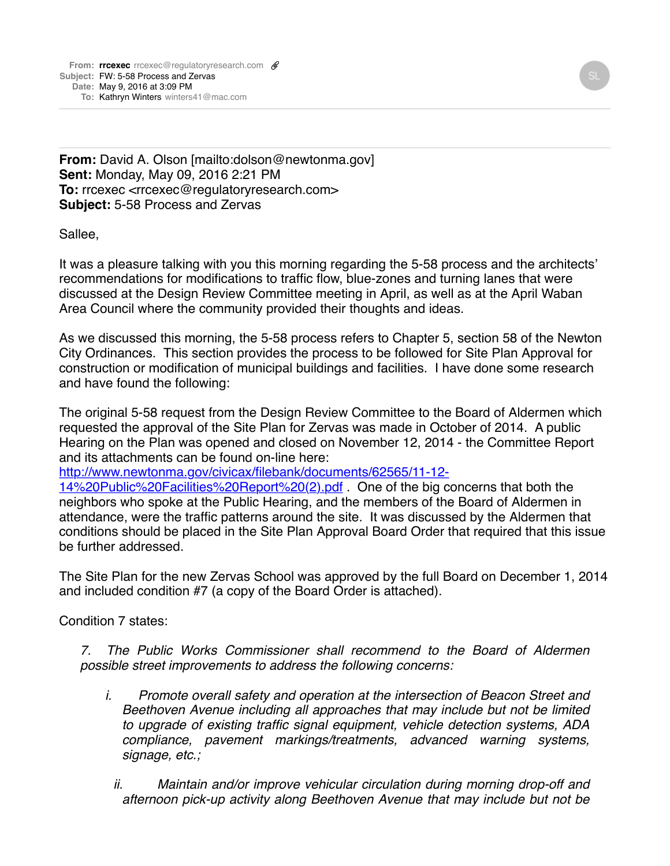**From:** David A. Olson [mailto:dolson@newtonma.gov] **Sent:** Monday, May 09, 2016 2:21 PM To: rrcexec <rrcexec@requlatoryresearch.com> **Subject:** 5-58 Process and Zervas

Sallee,

It was a pleasure talking with you this morning regarding the 5-58 process and the architects' recommendations for modifications to traffic flow, blue-zones and turning lanes that were discussed at the Design Review Committee meeting in April, as well as at the April Waban Area Council where the community provided their thoughts and ideas.

As we discussed this morning, the 5-58 process refers to Chapter 5, section 58 of the Newton City Ordinances. This section provides the process to be followed for Site Plan Approval for construction or modification of municipal buildings and facilities. I have done some research and have found the following:

The original 5-58 request from the Design Review Committee to the Board of Aldermen which requested the approval of the Site Plan for Zervas was made in October of 2014. A public Hearing on the Plan was opened and closed on November 12, 2014 - the Committee Report and its attachments can be found on-line here:

[http://www.newtonma.gov/civicax/filebank/documents/62565/11-12-](http://www.newtonma.gov/civicax/filebank/documents/62565/11-12-14%20Public%20Facilities%20Report%20(2).pdf)

14%20Public%20Facilities%20Report%20(2).pdf . One of the big concerns that both the neighbors who spoke at the Public Hearing, and the members of the Board of Aldermen in attendance, were the traffic patterns around the site. It was discussed by the Aldermen that conditions should be placed in the Site Plan Approval Board Order that required that this issue be further addressed.

The Site Plan for the new Zervas School was approved by the full Board on December 1, 2014 and included condition #7 (a copy of the Board Order is attached).

Condition 7 states:

*7. The Public Works Commissioner shall recommend to the Board of Aldermen possible street improvements to address the following concerns:*

- *i. Promote overall safety and operation at the intersection of Beacon Street and Beethoven Avenue including all approaches that may include but not be limited to upgrade of existing traffic signal equipment, vehicle detection systems, ADA compliance, pavement markings/treatments, advanced warning systems, signage, etc.;*
	- *ii. Maintain and/or improve vehicular circulation during morning drop-off and afternoon pick-up activity along Beethoven Avenue that may include but not be*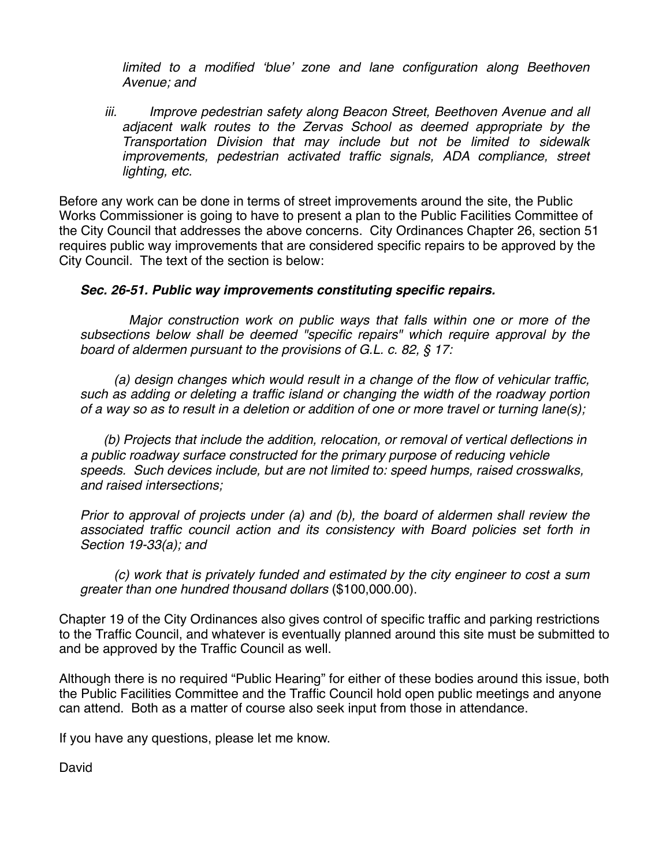*limited to a modified 'blue' zone and lane configuration along Beethoven Avenue; and*

 *iii. Improve pedestrian safety along Beacon Street, Beethoven Avenue and all adjacent walk routes to the Zervas School as deemed appropriate by the Transportation Division that may include but not be limited to sidewalk improvements, pedestrian activated traffic signals, ADA compliance, street lighting, etc.*

Before any work can be done in terms of street improvements around the site, the Public Works Commissioner is going to have to present a plan to the Public Facilities Committee of the City Council that addresses the above concerns. City Ordinances Chapter 26, section 51 requires public way improvements that are considered specific repairs to be approved by the City Council. The text of the section is below:

## *Sec. 26-51. Public way improvements constituting specific repairs.*

 *Major construction work on public ways that falls within one or more of the subsections below shall be deemed "specific repairs" which require approval by the board of aldermen pursuant to the provisions of G.L. c. 82, § 17:*

 *(a) design changes which would result in a change of the flow of vehicular traffic, such as adding or deleting a traffic island or changing the width of the roadway portion of a way so as to result in a deletion or addition of one or more travel or turning lane(s);*

 *(b) Projects that include the addition, relocation, or removal of vertical deflections in a public roadway surface constructed for the primary purpose of reducing vehicle speeds. Such devices include, but are not limited to: speed humps, raised crosswalks, and raised intersections;* 

*Prior to approval of projects under (a) and (b), the board of aldermen shall review the associated traffic council action and its consistency with Board policies set forth in Section 19-33(a); and*

 *(c) work that is privately funded and estimated by the city engineer to cost a sum greater than one hundred thousand dollars* (\$100,000.00).

Chapter 19 of the City Ordinances also gives control of specific traffic and parking restrictions to the Traffic Council, and whatever is eventually planned around this site must be submitted to and be approved by the Traffic Council as well.

Although there is no required "Public Hearing" for either of these bodies around this issue, both the Public Facilities Committee and the Traffic Council hold open public meetings and anyone can attend. Both as a matter of course also seek input from those in attendance.

If you have any questions, please let me know.

David